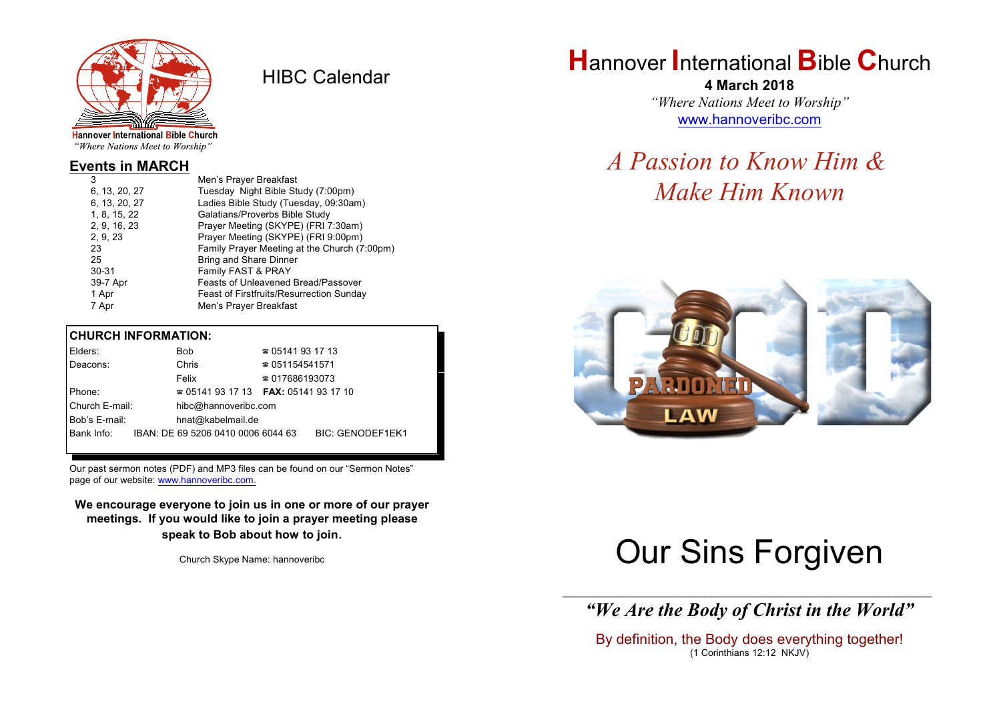

HIBC Calendar

"Where Nations Meet to Worship"

#### **Events in MARCH**

| 3             | Men's Prayer Breakfast                          |
|---------------|-------------------------------------------------|
| 6, 13, 20, 27 | Tuesday Night Bible Study (7:00pm)              |
| 6, 13, 20, 27 | Ladies Bible Study (Tuesday, 09:30am)           |
| 1, 8, 15, 22  | Galatians/Proverbs Bible Study                  |
| 2, 9, 16, 23  | Prayer Meeting (SKYPE) (FRI 7:30am)             |
| 2, 9, 23      | Prayer Meeting (SKYPE) (FRI 9:00pm)             |
| 23            | Family Prayer Meeting at the Church (7:00pm)    |
| 25            | <b>Bring and Share Dinner</b>                   |
| $30 - 31$     | Family FAST & PRAY                              |
| 39-7 Apr      | <b>Feasts of Unleavened Bread/Passover</b>      |
| 1 Apr         | <b>Feast of Firstfruits/Resurrection Sunday</b> |
| 7 Apr         | Men's Prayer Breakfast                          |
|               |                                                 |

#### **CHURCH INFORMATION:**

| Elders:        | Bob                                      | $\approx 05141931713$  |                         |
|----------------|------------------------------------------|------------------------|-------------------------|
| Deacons:       | Chris                                    | $\approx 051154541571$ |                         |
|                | Felix                                    | $\approx 017686193073$ |                         |
| Phone:         | $\approx 05141931713$ FAX: 0514193 17 10 |                        |                         |
| Church E-mail: | hibc@hannoveribc.com                     |                        |                         |
| Bob's E-mail:  | hnat@kabelmail.de                        |                        |                         |
| Bank Info:     | IBAN: DE 69 5206 0410 0006 6044 63       |                        | <b>BIC: GENODEF1EK1</b> |
|                |                                          |                        |                         |

Our past sermon notes (PDF) and MP3 files can be found on our "Sermon Notes" page of our website: [www.hannoveribc.com.](http://www.hannoveribc.com.)

**We encourage everyone to join us in one or more of our prayer meetings. If you would like to join a prayer meeting please speak to Bob about how to join**.

Church Skype Name: hannoveribc

# **H**annover **I**nternational **B**ible **C**hurch

**4 March 2018** *"Where Nations Meet to Worship"* [www.hannoveribc.com](http://www.hannoveribc.com)

# *A Passion to Know Him & Make Him Known*



# Our Sins Forgiven

\_\_\_\_\_\_\_\_\_\_\_\_\_\_\_\_\_\_\_\_\_\_\_\_\_\_\_\_\_\_\_\_\_\_\_\_\_\_\_\_\_\_\_\_\_\_\_\_\_\_\_\_\_\_\_\_\_\_\_\_\_\_ *"We Are the Body of Christ in the World"*

By definition, the Body does everything together! (1 Corinthians 12:12 NKJV)